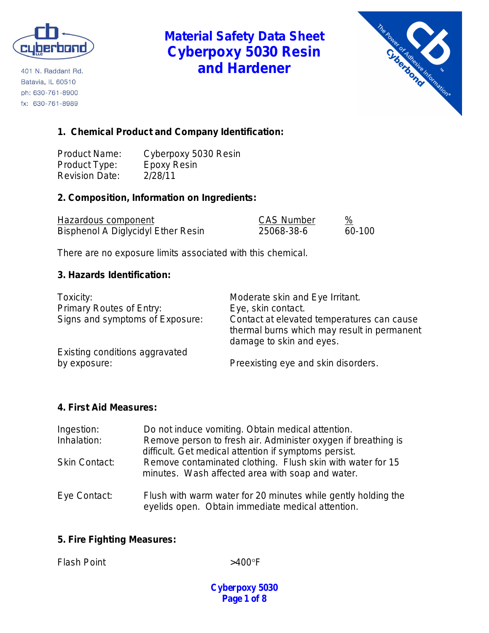

401 N. Raddant Rd. Batavia, IL 60510 ph: 630-761-8900 fx: 630-761-8989

# **Material Safety Data Sheet Cyberpoxy 5030 Resin and Hardener**



## **1. Chemical Product and Company Identification:**

Product Name: Cyberpoxy 5030 Resin<br>Product Type: Epoxy Resin Product Type: Revision Date: 2/28/11

## **2. Composition, Information on Ingredients:**

| Hazardous component                | <b>CAS Number</b> |        |
|------------------------------------|-------------------|--------|
| Bisphenol A Diglycidyl Ether Resin | 25068-38-6        | 60-100 |

There are no exposure limits associated with this chemical.

### **3. Hazards Identification:**

| Toxicity:<br><b>Primary Routes of Entry:</b> | Moderate skin and Eye Irritant.<br>Eye, skin contact.                                                                 |
|----------------------------------------------|-----------------------------------------------------------------------------------------------------------------------|
|                                              |                                                                                                                       |
| Signs and symptoms of Exposure:              | Contact at elevated temperatures can cause<br>thermal burns which may result in permanent<br>damage to skin and eyes. |
| Existing conditions aggravated               |                                                                                                                       |
| by exposure:                                 | Preexisting eye and skin disorders.                                                                                   |

#### **4. First Aid Measures:**

| Ingestion:           | Do not induce vomiting. Obtain medical attention.                                                                      |
|----------------------|------------------------------------------------------------------------------------------------------------------------|
| Inhalation:          | Remove person to fresh air. Administer oxygen if breathing is<br>difficult. Get medical attention if symptoms persist. |
| <b>Skin Contact:</b> | Remove contaminated clothing. Flush skin with water for 15<br>minutes. Wash affected area with soap and water.         |
| Eye Contact:         | Flush with warm water for 20 minutes while gently holding the<br>eyelids open. Obtain immediate medical attention.     |

### **5. Fire Fighting Measures:**

Flash Point  $>400^{\circ}$ F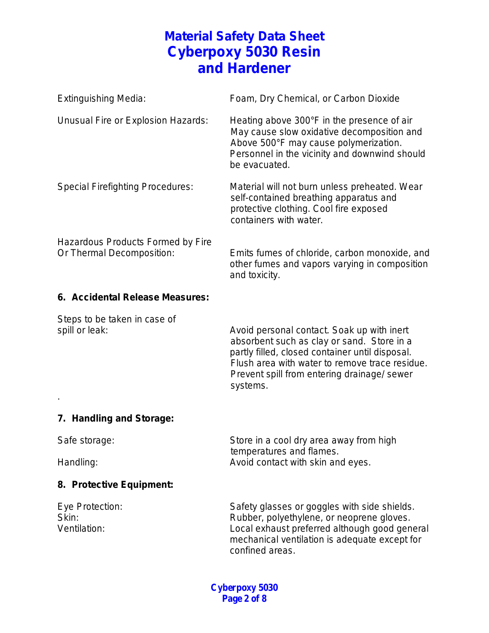| <b>Extinguishing Media:</b>                                    | Foam, Dry Chemical, or Carbon Dioxide                                                                                                                                                               |
|----------------------------------------------------------------|-----------------------------------------------------------------------------------------------------------------------------------------------------------------------------------------------------|
| Unusual Fire or Explosion Hazards:                             | Heating above 300°F in the presence of air<br>May cause slow oxidative decomposition and<br>Above 500°F may cause polymerization.<br>Personnel in the vicinity and downwind should<br>be evacuated. |
| <b>Special Firefighting Procedures:</b>                        | Material will not burn unless preheated. Wear<br>self-contained breathing apparatus and<br>protective clothing. Cool fire exposed<br>containers with water.                                         |
| Hazardous Products Formed by Fire<br>Or Thermal Decomposition: | Emits fumes of chloride, carbon monoxide, and<br>other fumes and vapors varying in composition<br>and toxicity.                                                                                     |

#### **6. Accidental Release Measures:**

Steps to be taken in case of

spill or leak:  $\sim$  Avoid personal contact. Soak up with inert absorbent such as clay or sand. Store in a partly filled, closed container until disposal. Flush area with water to remove trace residue. Prevent spill from entering drainage/ sewer systems.

## **7. Handling and Storage:**

.

Safe storage: Safe storage: Store in a cool dry area away from high temperatures and flames. Handling: Handling: Handling: Avoid contact with skin and eyes.

## **8. Protective Equipment:**

Eye Protection: Safety glasses or goggles with side shields. Skin: Skin: Skin: Rubber, polyethylene, or neoprene gloves. Ventilation: Local exhaust preferred although good general mechanical ventilation is adequate except for confined areas.

> **Cyberpoxy 5030 Page 2 of 8**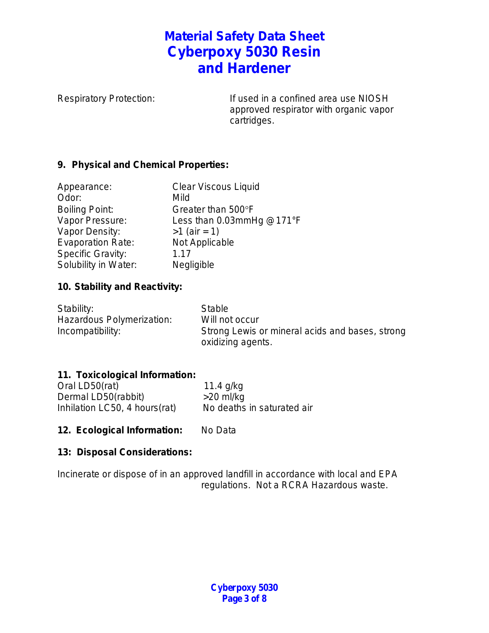Respiratory Protection: If used in a confined area use NIOSH approved respirator with organic vapor cartridges.

## **9. Physical and Chemical Properties:**

| Appearance:              | <b>Clear Viscous Liquid</b> |
|--------------------------|-----------------------------|
| Odor:                    | Mild                        |
| <b>Boiling Point:</b>    | Greater than 500°F          |
| Vapor Pressure:          | Less than 0.03mmHg @171°F   |
| Vapor Density:           | $>1$ (air = 1)              |
| <b>Evaporation Rate:</b> | Not Applicable              |
| <b>Specific Gravity:</b> | 1.17                        |
| Solubility in Water:     | Negligible                  |

## **10. Stability and Reactivity:**

| Stability:                | <b>Stable</b>                                   |
|---------------------------|-------------------------------------------------|
| Hazardous Polymerization: | Will not occur                                  |
| Incompatibility:          | Strong Lewis or mineral acids and bases, strong |
|                           | oxidizing agents.                               |

## **11. Toxicological Information:**

| Oral LD50(rat)                | 11.4 $q/kg$                |
|-------------------------------|----------------------------|
| Dermal LD50(rabbit)           | $>20$ ml/kg                |
| Inhilation LC50, 4 hours(rat) | No deaths in saturated air |

12. Ecological Information: No Data

### **13: Disposal Considerations:**

Incinerate or dispose of in an approved landfill in accordance with local and EPA regulations. Not a RCRA Hazardous waste.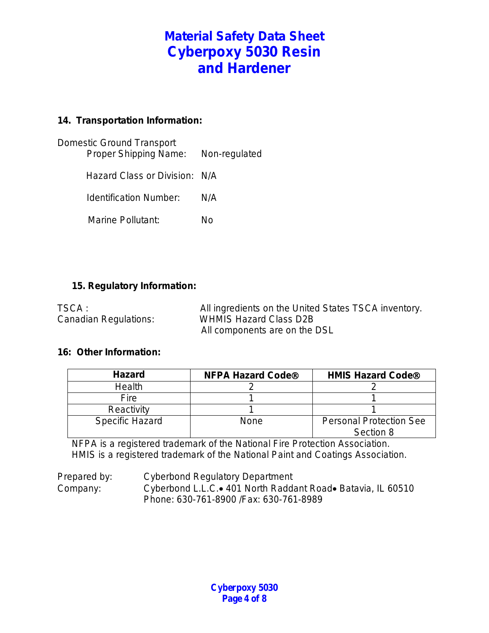## **14. Transportation Information:**

| Domestic Ground Transport<br>Proper Shipping Name: | Non-regulated |
|----------------------------------------------------|---------------|
| Hazard Class or Division: N/A                      |               |
| Identification Number:                             | N/A           |
| Marine Pollutant:                                  | N٥            |
|                                                    |               |

### **15. Regulatory Information:**

| TSCA :                | All ingredients on the United States TSCA inventory. |
|-----------------------|------------------------------------------------------|
| Canadian Regulations: | <b>WHMIS Hazard Class D2B</b>                        |
|                       | All components are on the DSL                        |

#### **16: Other Information:**

| <b>Hazard</b>          | <b>NFPA Hazard Code®</b> | <b>HMIS Hazard Code®</b>                    |
|------------------------|--------------------------|---------------------------------------------|
| <b>Health</b>          |                          |                                             |
| Fire                   |                          |                                             |
| Reactivity             |                          |                                             |
| <b>Specific Hazard</b> | None                     | <b>Personal Protection See</b><br>Section 8 |

NFPA is a registered trademark of the National Fire Protection Association. HMIS is a registered trademark of the National Paint and Coatings Association.

Prepared by: Cyberbond Regulatory Department Company: Cyberbond L.L.C.• 401 North Raddant Road• Batavia, IL 60510 Phone: 630-761-8900 /Fax: 630-761-8989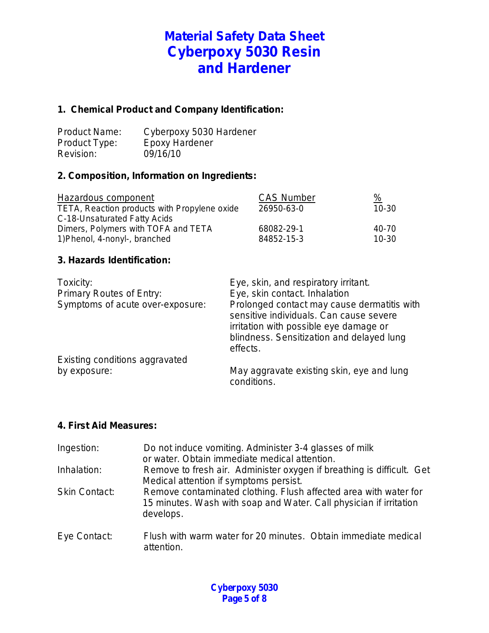### **1. Chemical Product and Company Identification:**

| <b>Product Name:</b> | Cyberpoxy 5030 Hardener |
|----------------------|-------------------------|
| Product Type:        | <b>Epoxy Hardener</b>   |
| Revision:            | 09/16/10                |

### **2. Composition, Information on Ingredients:**

| Hazardous component                          | <b>CAS Number</b> | $\frac{9}{6}$ |
|----------------------------------------------|-------------------|---------------|
| TETA, Reaction products with Propylene oxide | 26950-63-0        | $10 - 30$     |
| C-18-Unsaturated Fatty Acids                 |                   |               |
| Dimers, Polymers with TOFA and TETA          | 68082-29-1        | 40-70         |
| 1) Phenol, 4-nonyl-, branched                | 84852-15-3        | $10-30$       |

### **3. Hazards Identification:**

| Toxicity:<br>Primary Routes of Entry:<br>Symptoms of acute over-exposure: | Eye, skin, and respiratory irritant.<br>Eye, skin contact. Inhalation<br>Prolonged contact may cause dermatitis with<br>sensitive individuals. Can cause severe<br>irritation with possible eye damage or<br>blindness. Sensitization and delayed lung |
|---------------------------------------------------------------------------|--------------------------------------------------------------------------------------------------------------------------------------------------------------------------------------------------------------------------------------------------------|
| Existing conditions aggravated<br>by exposure:                            | effects.<br>May aggravate existing skin, eye and lung<br>conditions.                                                                                                                                                                                   |

#### **4. First Aid Measures:**

| Ingestion:           | Do not induce vomiting. Administer 3-4 glasses of milk<br>or water. Obtain immediate medical attention.                                             |
|----------------------|-----------------------------------------------------------------------------------------------------------------------------------------------------|
| Inhalation:          | Remove to fresh air. Administer oxygen if breathing is difficult. Get<br>Medical attention if symptoms persist.                                     |
| <b>Skin Contact:</b> | Remove contaminated clothing. Flush affected area with water for<br>15 minutes. Wash with soap and Water. Call physician if irritation<br>develops. |
| Eye Contact:         | Flush with warm water for 20 minutes. Obtain immediate medical<br>attention.                                                                        |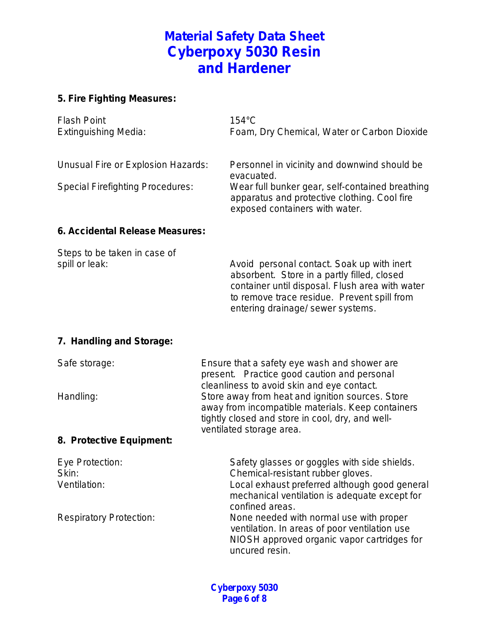## **5. Fire Fighting Measures:**

| <b>Flash Point</b><br><b>Extinguishing Media:</b> | $154^{\circ}$ C<br>Foam, Dry Chemical, Water or Carbon Dioxide                                                                    |
|---------------------------------------------------|-----------------------------------------------------------------------------------------------------------------------------------|
| Unusual Fire or Explosion Hazards:                | Personnel in vicinity and downwind should be<br>evacuated.                                                                        |
| <b>Special Firefighting Procedures:</b>           | Wear full bunker gear, self-contained breathing<br>apparatus and protective clothing. Cool fire<br>exposed containers with water. |
| 6. Accidental Release Measures:                   |                                                                                                                                   |

Steps to be taken in case of spill or leak: Avoid personal contact. Soak up with inert absorbent. Store in a partly filled, closed container until disposal. Flush area with water to remove trace residue. Prevent spill from entering drainage/ sewer systems.

### **7. Handling and Storage:**

| Safe storage:            | Ensure that a safety eye wash and shower are      |
|--------------------------|---------------------------------------------------|
|                          | present. Practice good caution and personal       |
|                          | cleanliness to avoid skin and eye contact.        |
| Handling:                | Store away from heat and ignition sources. Store  |
|                          | away from incompatible materials. Keep containers |
|                          | tightly closed and store in cool, dry, and well-  |
|                          | ventilated storage area.                          |
| 8. Protective Equipment: |                                                   |
|                          |                                                   |

| Safety glasses or goggles with side shields.  |
|-----------------------------------------------|
| Chemical-resistant rubber gloves.             |
| Local exhaust preferred although good general |
| mechanical ventilation is adequate except for |
| confined areas.                               |
| None needed with normal use with proper       |
| ventilation. In areas of poor ventilation use |
| NIOSH approved organic vapor cartridges for   |
| uncured resin.                                |
|                                               |

**Cyberpoxy 5030 Page 6 of 8**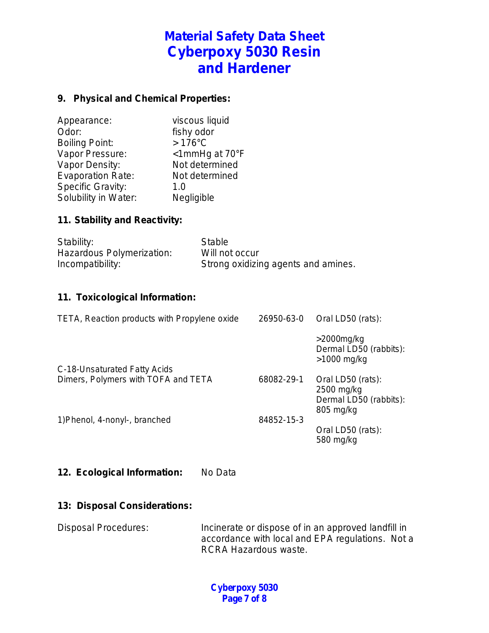## **9. Physical and Chemical Properties:**

| Appearance:              | viscous liquid   |
|--------------------------|------------------|
| Odor:                    | fishy odor       |
| <b>Boiling Point:</b>    | $>176^{\circ}$ C |
| Vapor Pressure:          | <1mmHg at 70°F   |
| Vapor Density:           | Not determined   |
| <b>Evaporation Rate:</b> | Not determined   |
| <b>Specific Gravity:</b> | 1. $\Omega$      |
| Solubility in Water:     | Negligible       |

### **11. Stability and Reactivity:**

| Stability:                | Stable                              |
|---------------------------|-------------------------------------|
| Hazardous Polymerization: | Will not occur                      |
| Incompatibility:          | Strong oxidizing agents and amines. |

### **11. Toxicological Information:**

| TETA, Reaction products with Propylene oxide | 26950-63-0 | Oral LD50 (rats):                                                      |
|----------------------------------------------|------------|------------------------------------------------------------------------|
|                                              |            | $>$ 2000 $mg/kg$<br>Dermal LD50 (rabbits):<br>$>1000$ mg/kg            |
| C-18-Unsaturated Fatty Acids                 |            |                                                                        |
| Dimers, Polymers with TOFA and TETA          | 68082-29-1 | Oral LD50 (rats):<br>2500 mg/kg<br>Dermal LD50 (rabbits):<br>805 mg/kg |
| 1) Phenol, 4-nonyl-, branched                | 84852-15-3 |                                                                        |
|                                              |            | Oral LD50 (rats):<br>580 mg/kg                                         |

### **12. Ecological Information:** No Data

#### **13: Disposal Considerations:**

Disposal Procedures: Incinerate or dispose of in an approved landfill in accordance with local and EPA regulations. Not a RCRA Hazardous waste.

> **Cyberpoxy 5030 Page 7 of 8**